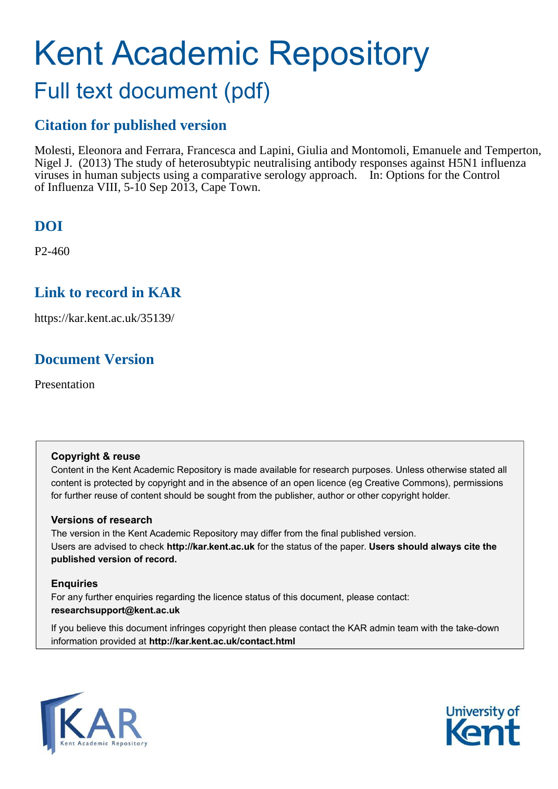## Kent Academic Repository Full text document (pdf)

### **Citation for published version**

Molesti, Eleonora and Ferrara, Francesca and Lapini, Giulia and Montomoli, Emanuele and Temperton, Nigel J. (2013) The study of heterosubtypic neutralising antibody responses against H5N1 influenza viruses in human subjects using a comparative serology approach. In: Options for the Control of Influenza VIII, 5-10 Sep 2013, Cape Town.

### **DOI**

P2-460

#### **Link to record in KAR**

https://kar.kent.ac.uk/35139/

### **Document Version**

Presentation

#### **Copyright & reuse**

Content in the Kent Academic Repository is made available for research purposes. Unless otherwise stated all content is protected by copyright and in the absence of an open licence (eg Creative Commons), permissions for further reuse of content should be sought from the publisher, author or other copyright holder.

#### **Versions of research**

The version in the Kent Academic Repository may differ from the final published version. Users are advised to check **http://kar.kent.ac.uk** for the status of the paper. **Users should always cite the published version of record.**

#### **Enquiries**

For any further enquiries regarding the licence status of this document, please contact: **researchsupport@kent.ac.uk**

If you believe this document infringes copyright then please contact the KAR admin team with the take-down information provided at **http://kar.kent.ac.uk/contact.html**